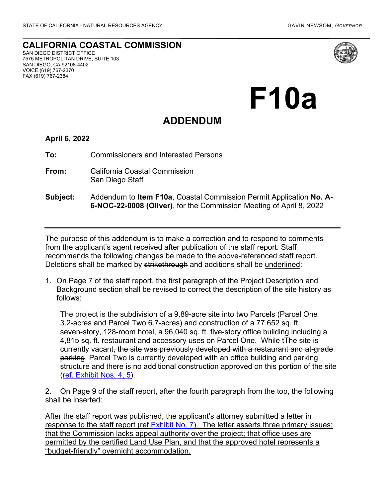## **CALIFORNIA COASTAL COMMISSION**

SAN DIEGO DISTRICT OFFICE 7575 METROPOLITAN DRIVE, SUITE 103 SAN DIEGO, CA 92108-4402 VOICE (619) 767-2370 FAX (619) 767-2384



## **F10a**

## **ADDENDUM**

## **April 6, 2022**

**To:** Commissioners and Interested Persons

- **From:** California Coastal Commission San Diego Staff
- **Subject:** Addendum to **Item F10a**, Coastal Commission Permit Application **No. A-6-NOC-22-0008 (Oliver)**, for the Commission Meeting of April 8, 2022

The purpose of this addendum is to make a correction and to respond to comments from the applicant's agent received after publication of the staff report. Staff recommends the following changes be made to the above-referenced staff report. Deletions shall be marked by strikethrough and additions shall be underlined:

1. On Page 7 of the staff report, the first paragraph of the Project Description and Background section shall be revised to correct the description of the site history as follows:

The project is the subdivision of a 9.89-acre site into two Parcels (Parcel One 3.2-acres and Parcel Two 6.7-acres) and construction of a 77,652 sq. ft. seven-story, 128-room hotel, a 96,040 sq. ft. five-story office building including a 4,815 sq. ft. restaurant and accessory uses on Parcel One. While tThe site is currently vacant, the site was previously developed with a restaurant and at-grade parking. Parcel Two is currently developed with an office building and parking structure and there is no additional construction approved on this portion of the site [\(ref. Exhibit Nos. 4, 5\)](https://documents.coastal.ca.gov/reports/2022/4/F10a/F10a-4-2022-exhibits.pdf).

2. On Page 9 of the staff report, after the fourth paragraph from the top, the following shall be inserted:

After the staff report was published, the applicant's attorney submitted a letter in response to the staff report (ref [Exhibit No. 7\)](https://documents.coastal.ca.gov/reports/2022/4/F10a/F10a-4-2022-corresp.pdf). The letter asserts three primary issues; that the Commission lacks appeal authority over the project; that office uses are permitted by the certified Land Use Plan, and that the approved hotel represents a "budget-friendly" overnight accommodation.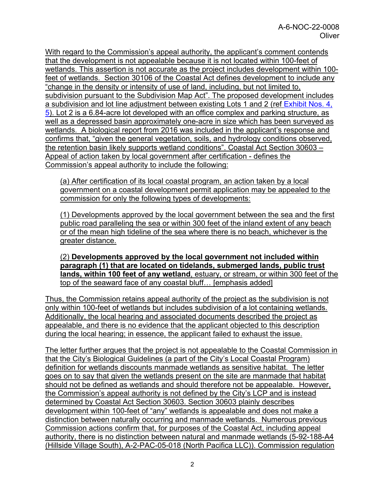With regard to the Commission's appeal authority, the applicant's comment contends that the development is not appealable because it is not located within 100-feet of wetlands. This assertion is not accurate as the project includes development within 100 feet of wetlands. Section 30106 of the Coastal Act defines development to include any "change in the density or intensity of use of land, including, but not limited to, subdivision pursuant to the Subdivision Map Act". The proposed development includes a subdivision and lot line adjustment between existing Lots 1 and 2 (ref Exhibit Nos. 4, [5\)](https://documents.coastal.ca.gov/reports/2022/4/F10a/F10a-4-2022-exhibits.pdf). Lot 2 is a 6.84-acre lot developed with an office complex and parking structure, as well as a depressed basin approximately one-acre in size which has been surveyed as wetlands. A biological report from 2016 was included in the applicant's response and confirms that, "given the general vegetation, soils, and hydrology conditions observed, the retention basin likely supports wetland conditions". Coastal Act Section 30603 – Appeal of action taken by local government after certification - defines the Commission's appeal authority to include the following:

(a) After certification of its local coastal program, an action taken by a local government on a coastal development permit application may be appealed to the commission for only the following types of developments:

(1) Developments approved by the local government between the sea and the first public road paralleling the sea or within 300 feet of the inland extent of any beach or of the mean high tideline of the sea where there is no beach, whichever is the greater distance.

(2) **Developments approved by the local government not included within paragraph (1) that are located on tidelands, submerged lands, public trust lands, within 100 feet of any wetland**, estuary, or stream, or within 300 feet of the top of the seaward face of any coastal bluff… [emphasis added]

Thus, the Commission retains appeal authority of the project as the subdivision is not only within 100-feet of wetlands but includes subdivision of a lot containing wetlands. Additionally, the local hearing and associated documents described the project as appealable, and there is no evidence that the applicant objected to this description during the local hearing; in essence, the applicant failed to exhaust the issue.

The letter further argues that the project is not appealable to the Coastal Commission in that the City's Biological Guidelines (a part of the City's Local Coastal Program) definition for wetlands discounts manmade wetlands as sensitive habitat. The letter goes on to say that given the wetlands present on the site are manmade that habitat should not be defined as wetlands and should therefore not be appealable. However, the Commission's appeal authority is not defined by the City's LCP and is instead determined by Coastal Act Section 30603. Section 30603 plainly describes development within 100-feet of "any" wetlands is appealable and does not make a distinction between naturally occurring and manmade wetlands. Numerous previous Commission actions confirm that, for purposes of the Coastal Act, including appeal authority, there is no distinction between natural and manmade wetlands (5-92-188-A4 (Hillside Village South), A-2-PAC-05-018 (North Pacifica LLC)). Commission regulation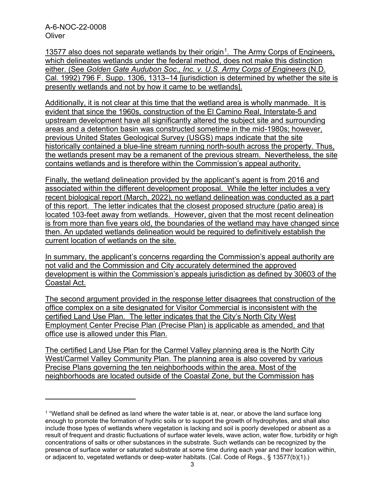A-6-NOC-22-0008 **Oliver** 

[1](#page-2-0)3577 also does not separate wetlands by their origin<sup>1</sup>. The Army Corps of Engineers, which delineates wetlands under the federal method, does not make this distinction either. (See *Golden Gate Audubon Soc., Inc. v. U.S. Army Corps of Engineers* (N.D. Cal. 1992) 796 F. Supp. 1306, 1313–14 [jurisdiction is determined by whether the site is presently wetlands and not by how it came to be wetlands].

Additionally, it is not clear at this time that the wetland area is wholly manmade. It is evident that since the 1960s, construction of the El Camino Real, Interstate-5 and upstream development have all significantly altered the subject site and surrounding areas and a detention basin was constructed sometime in the mid-1980s; however, previous United States Geological Survey (USGS) maps indicate that the site historically contained a blue-line stream running north-south across the property. Thus, the wetlands present may be a remanent of the previous stream. Nevertheless, the site contains wetlands and is therefore within the Commission's appeal authority.

Finally, the wetland delineation provided by the applicant's agent is from 2016 and associated within the different development proposal. While the letter includes a very recent biological report (March, 2022), no wetland delineation was conducted as a part of this report. The letter indicates that the closest proposed structure (patio area) is located 103-feet away from wetlands. However, given that the most recent delineation is from more than five years old, the boundaries of the wetland may have changed since then. An updated wetlands delineation would be required to definitively establish the current location of wetlands on the site.

In summary, the applicant's concerns regarding the Commission's appeal authority are not valid and the Commission and City accurately determined the approved development is within the Commission's appeals jurisdiction as defined by 30603 of the Coastal Act.

The second argument provided in the response letter disagrees that construction of the office complex on a site designated for Visitor Commercial is inconsistent with the certified Land Use Plan. The letter indicates that the City's North City West Employment Center Precise Plan (Precise Plan) is applicable as amended, and that office use is allowed under this Plan.

The certified Land Use Plan for the Carmel Valley planning area is the North City West/Carmel Valley Community Plan. The planning area is also covered by various Precise Plans governing the ten neighborhoods within the area. Most of the neighborhoods are located outside of the Coastal Zone, but the Commission has

<span id="page-2-0"></span> $1$  "Wetland shall be defined as land where the water table is at, near, or above the land surface long enough to promote the formation of hydric soils or to support the growth of hydrophytes, and shall also include those types of wetlands where vegetation is lacking and soil is poorly developed or absent as a result of frequent and drastic fluctuations of surface water levels, wave action, water flow, turbidity or high concentrations of salts or other substances in the substrate. Such wetlands can be recognized by the presence of surface water or saturated substrate at some time during each year and their location within, or adjacent to, vegetated wetlands or deep-water habitats. (Cal. Code of Regs., § 13577(b)(1).)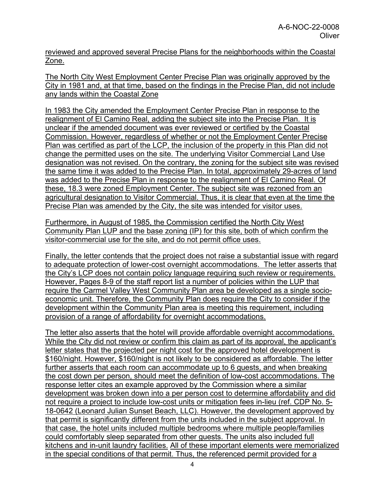reviewed and approved several Precise Plans for the neighborhoods within the Coastal Zone.

The North City West Employment Center Precise Plan was originally approved by the City in 1981 and, at that time, based on the findings in the Precise Plan, did not include any lands within the Coastal Zone

In 1983 the City amended the Employment Center Precise Plan in response to the realignment of El Camino Real, adding the subject site into the Precise Plan. It is unclear if the amended document was ever reviewed or certified by the Coastal Commission. However, regardless of whether or not the Employment Center Precise Plan was certified as part of the LCP, the inclusion of the property in this Plan did not change the permitted uses on the site. The underlying Visitor Commercial Land Use designation was not revised. On the contrary, the zoning for the subject site was revised the same time it was added to the Precise Plan. In total, approximately 29-acres of land was added to the Precise Plan in response to the realignment of El Camino Real. Of these, 18.3 were zoned Employment Center. The subject site was rezoned from an agricultural designation to Visitor Commercial. Thus, it is clear that even at the time the Precise Plan was amended by the City, the site was intended for visitor uses.

Furthermore, in August of 1985, the Commission certified the North City West Community Plan LUP and the base zoning (IP) for this site, both of which confirm the visitor-commercial use for the site, and do not permit office uses.

Finally, the letter contends that the project does not raise a substantial issue with regard to adequate protection of lower-cost overnight accommodations. The letter asserts that the City's LCP does not contain policy language requiring such review or requirements. However, Pages 8-9 of the staff report list a number of policies within the LUP that require the Carmel Valley West Community Plan area be developed as a single socioeconomic unit. Therefore, the Community Plan does require the City to consider if the development within the Community Plan area is meeting this requirement, including provision of a range of affordability for overnight accommodations.

The letter also asserts that the hotel will provide affordable overnight accommodations. While the City did not review or confirm this claim as part of its approval, the applicant's letter states that the projected per night cost for the approved hotel development is \$160/night. However, \$160/night is not likely to be considered as affordable. The letter further asserts that each room can accommodate up to 6 guests, and when breaking the cost down per person, should meet the definition of low-cost accommodations. The response letter cites an example approved by the Commission where a similar development was broken down into a per person cost to determine affordability and did not require a project to include low-cost units or mitigation fees in-lieu (ref. CDP No. 5- 18-0642 (Leonard Julian Sunset Beach, LLC). However, the development approved by that permit is significantly different from the units included in the subject approval. In that case, the hotel units included multiple bedrooms where multiple people/families could comfortably sleep separated from other guests. The units also included full kitchens and in-unit laundry facilities. All of these important elements were memorialized in the special conditions of that permit. Thus, the referenced permit provided for a